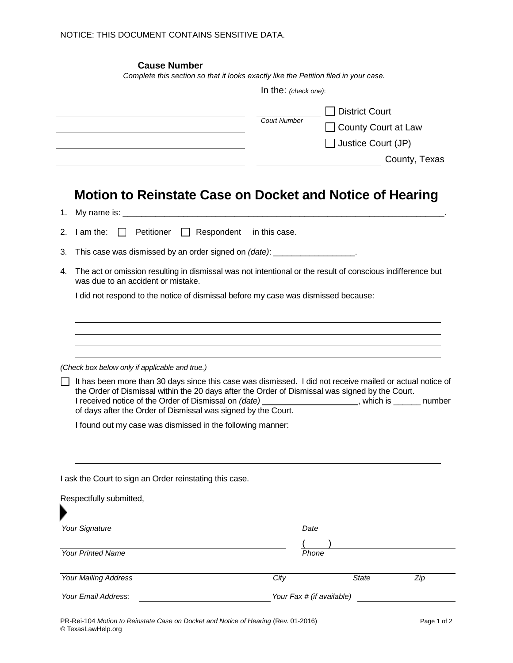|    | <b>Cause Number</b>                                                                                                                                                                                                                                                                                                                                                                                      |                          |                       |               |  |  |  |
|----|----------------------------------------------------------------------------------------------------------------------------------------------------------------------------------------------------------------------------------------------------------------------------------------------------------------------------------------------------------------------------------------------------------|--------------------------|-----------------------|---------------|--|--|--|
|    | Complete this section so that it looks exactly like the Petition filed in your case.                                                                                                                                                                                                                                                                                                                     |                          |                       |               |  |  |  |
|    |                                                                                                                                                                                                                                                                                                                                                                                                          | In the: $(check one)$ :  |                       |               |  |  |  |
|    |                                                                                                                                                                                                                                                                                                                                                                                                          |                          | <b>District Court</b> |               |  |  |  |
|    |                                                                                                                                                                                                                                                                                                                                                                                                          | <b>Court Number</b>      | County Court at Law   |               |  |  |  |
|    |                                                                                                                                                                                                                                                                                                                                                                                                          |                          | Justice Court (JP)    |               |  |  |  |
|    |                                                                                                                                                                                                                                                                                                                                                                                                          |                          |                       | County, Texas |  |  |  |
|    |                                                                                                                                                                                                                                                                                                                                                                                                          |                          |                       |               |  |  |  |
|    | Motion to Reinstate Case on Docket and Notice of Hearing                                                                                                                                                                                                                                                                                                                                                 |                          |                       |               |  |  |  |
| 1. |                                                                                                                                                                                                                                                                                                                                                                                                          |                          |                       |               |  |  |  |
| 2. | I am the:<br>Petitioner<br>$\mathsf{L}$                                                                                                                                                                                                                                                                                                                                                                  | Respondent in this case. |                       |               |  |  |  |
| 3. | This case was dismissed by an order signed on (date): __________________.                                                                                                                                                                                                                                                                                                                                |                          |                       |               |  |  |  |
| 4. | The act or omission resulting in dismissal was not intentional or the result of conscious indifference but<br>was due to an accident or mistake.                                                                                                                                                                                                                                                         |                          |                       |               |  |  |  |
|    | I did not respond to the notice of dismissal before my case was dismissed because:                                                                                                                                                                                                                                                                                                                       |                          |                       |               |  |  |  |
|    |                                                                                                                                                                                                                                                                                                                                                                                                          |                          |                       |               |  |  |  |
|    |                                                                                                                                                                                                                                                                                                                                                                                                          |                          |                       |               |  |  |  |
|    |                                                                                                                                                                                                                                                                                                                                                                                                          |                          |                       |               |  |  |  |
|    |                                                                                                                                                                                                                                                                                                                                                                                                          |                          |                       |               |  |  |  |
|    | (Check box below only if applicable and true.)                                                                                                                                                                                                                                                                                                                                                           |                          |                       |               |  |  |  |
|    | It has been more than 30 days since this case was dismissed. I did not receive mailed or actual notice of<br>the Order of Dismissal within the 20 days after the Order of Dismissal was signed by the Court.<br>I received notice of the Order of Dismissal on (date)<br>_________________________________, which is ___________ number<br>of days after the Order of Dismissal was signed by the Court. |                          |                       |               |  |  |  |
|    | I found out my case was dismissed in the following manner:                                                                                                                                                                                                                                                                                                                                               |                          |                       |               |  |  |  |
|    |                                                                                                                                                                                                                                                                                                                                                                                                          |                          |                       |               |  |  |  |
|    |                                                                                                                                                                                                                                                                                                                                                                                                          |                          |                       |               |  |  |  |
|    |                                                                                                                                                                                                                                                                                                                                                                                                          |                          |                       |               |  |  |  |
|    | I ask the Court to sign an Order reinstating this case.                                                                                                                                                                                                                                                                                                                                                  |                          |                       |               |  |  |  |
|    |                                                                                                                                                                                                                                                                                                                                                                                                          |                          |                       |               |  |  |  |
|    | Respectfully submitted,                                                                                                                                                                                                                                                                                                                                                                                  |                          |                       |               |  |  |  |
|    |                                                                                                                                                                                                                                                                                                                                                                                                          |                          |                       |               |  |  |  |
|    |                                                                                                                                                                                                                                                                                                                                                                                                          |                          | Date                  |               |  |  |  |
|    | Your Signature                                                                                                                                                                                                                                                                                                                                                                                           |                          |                       |               |  |  |  |
|    |                                                                                                                                                                                                                                                                                                                                                                                                          |                          |                       |               |  |  |  |
|    | <b>Your Printed Name</b>                                                                                                                                                                                                                                                                                                                                                                                 |                          | Phone                 |               |  |  |  |
|    | Your Mailing Address                                                                                                                                                                                                                                                                                                                                                                                     | City                     | <b>State</b>          | Zip           |  |  |  |